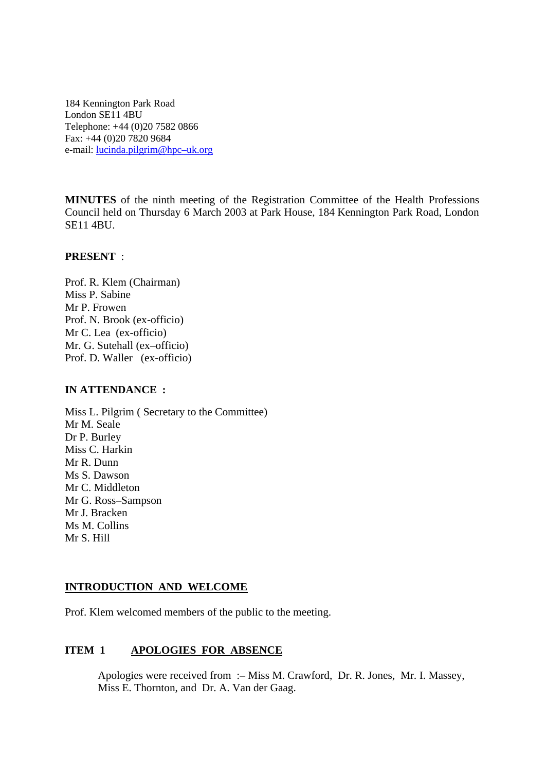184 Kennington Park Road London SE11 4BU Telephone: +44 (0)20 7582 0866 Fax: +44 (0)20 7820 9684 e-mail: lucinda.pilgrim@hpc–uk.org

**MINUTES** of the ninth meeting of the Registration Committee of the Health Professions Council held on Thursday 6 March 2003 at Park House, 184 Kennington Park Road, London SE11 4BU.

#### **PRESENT** :

Prof. R. Klem (Chairman) Miss P. Sabine Mr P. Frowen Prof. N. Brook (ex-officio) Mr C. Lea (ex-officio) Mr. G. Sutehall (ex–officio) Prof. D. Waller (ex-officio)

#### **IN ATTENDANCE :**

Miss L. Pilgrim ( Secretary to the Committee) Mr M. Seale Dr P. Burley Miss C. Harkin Mr R. Dunn Ms S. Dawson Mr C. Middleton Mr G. Ross–Sampson Mr J. Bracken Ms M. Collins Mr S. Hill

### **INTRODUCTION AND WELCOME**

Prof. Klem welcomed members of the public to the meeting.

### **ITEM 1 APOLOGIES FOR ABSENCE**

Apologies were received from :– Miss M. Crawford, Dr. R. Jones, Mr. I. Massey, Miss E. Thornton, and Dr. A. Van der Gaag.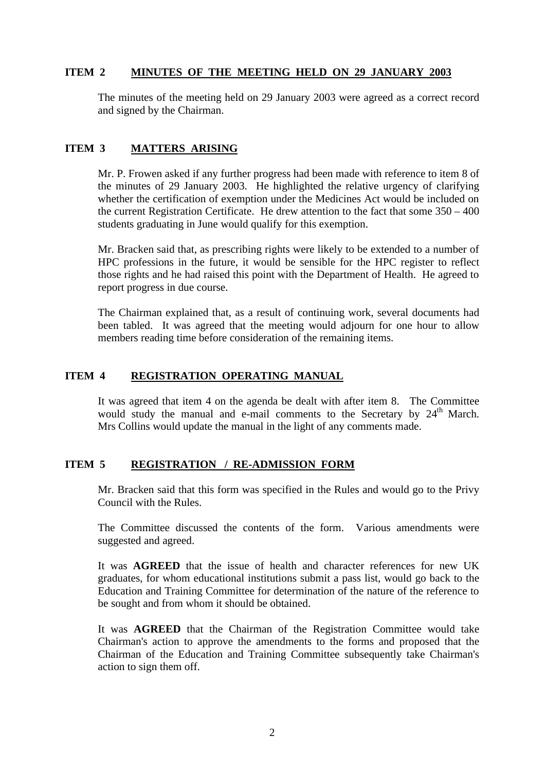#### **ITEM 2 MINUTES OF THE MEETING HELD ON 29 JANUARY 2003**

The minutes of the meeting held on 29 January 2003 were agreed as a correct record and signed by the Chairman.

#### **ITEM 3 MATTERS ARISING**

Mr. P. Frowen asked if any further progress had been made with reference to item 8 of the minutes of 29 January 2003. He highlighted the relative urgency of clarifying whether the certification of exemption under the Medicines Act would be included on the current Registration Certificate. He drew attention to the fact that some  $350 - 400$ students graduating in June would qualify for this exemption.

Mr. Bracken said that, as prescribing rights were likely to be extended to a number of HPC professions in the future, it would be sensible for the HPC register to reflect those rights and he had raised this point with the Department of Health. He agreed to report progress in due course.

The Chairman explained that, as a result of continuing work, several documents had been tabled. It was agreed that the meeting would adjourn for one hour to allow members reading time before consideration of the remaining items.

#### **ITEM 4 REGISTRATION OPERATING MANUAL**

It was agreed that item 4 on the agenda be dealt with after item 8. The Committee would study the manual and e-mail comments to the Secretary by  $24<sup>th</sup>$  March. Mrs Collins would update the manual in the light of any comments made.

### **ITEM 5 REGISTRATION / RE-ADMISSION FORM**

Mr. Bracken said that this form was specified in the Rules and would go to the Privy Council with the Rules.

The Committee discussed the contents of the form. Various amendments were suggested and agreed.

It was **AGREED** that the issue of health and character references for new UK graduates, for whom educational institutions submit a pass list, would go back to the Education and Training Committee for determination of the nature of the reference to be sought and from whom it should be obtained.

It was **AGREED** that the Chairman of the Registration Committee would take Chairman's action to approve the amendments to the forms and proposed that the Chairman of the Education and Training Committee subsequently take Chairman's action to sign them off.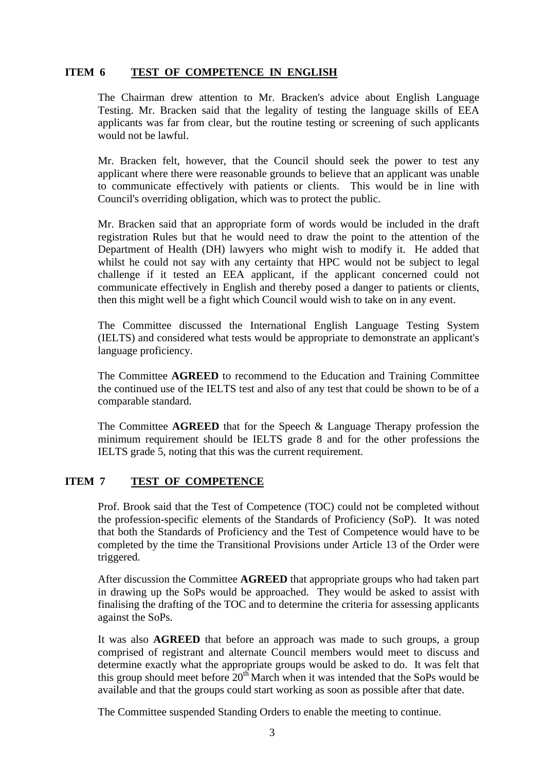# **ITEM 6 TEST OF COMPETENCE IN ENGLISH**

The Chairman drew attention to Mr. Bracken's advice about English Language Testing. Mr. Bracken said that the legality of testing the language skills of EEA applicants was far from clear, but the routine testing or screening of such applicants would not be lawful.

Mr. Bracken felt, however, that the Council should seek the power to test any applicant where there were reasonable grounds to believe that an applicant was unable to communicate effectively with patients or clients. This would be in line with Council's overriding obligation, which was to protect the public.

Mr. Bracken said that an appropriate form of words would be included in the draft registration Rules but that he would need to draw the point to the attention of the Department of Health (DH) lawyers who might wish to modify it. He added that whilst he could not say with any certainty that HPC would not be subject to legal challenge if it tested an EEA applicant, if the applicant concerned could not communicate effectively in English and thereby posed a danger to patients or clients, then this might well be a fight which Council would wish to take on in any event.

The Committee discussed the International English Language Testing System (IELTS) and considered what tests would be appropriate to demonstrate an applicant's language proficiency.

The Committee **AGREED** to recommend to the Education and Training Committee the continued use of the IELTS test and also of any test that could be shown to be of a comparable standard.

The Committee **AGREED** that for the Speech & Language Therapy profession the minimum requirement should be IELTS grade 8 and for the other professions the IELTS grade 5, noting that this was the current requirement.

### **ITEM 7 TEST OF COMPETENCE**

Prof. Brook said that the Test of Competence (TOC) could not be completed without the profession-specific elements of the Standards of Proficiency (SoP). It was noted that both the Standards of Proficiency and the Test of Competence would have to be completed by the time the Transitional Provisions under Article 13 of the Order were triggered.

After discussion the Committee **AGREED** that appropriate groups who had taken part in drawing up the SoPs would be approached. They would be asked to assist with finalising the drafting of the TOC and to determine the criteria for assessing applicants against the SoPs.

It was also **AGREED** that before an approach was made to such groups, a group comprised of registrant and alternate Council members would meet to discuss and determine exactly what the appropriate groups would be asked to do. It was felt that this group should meet before  $20<sup>th</sup>$  March when it was intended that the SoPs would be available and that the groups could start working as soon as possible after that date.

The Committee suspended Standing Orders to enable the meeting to continue.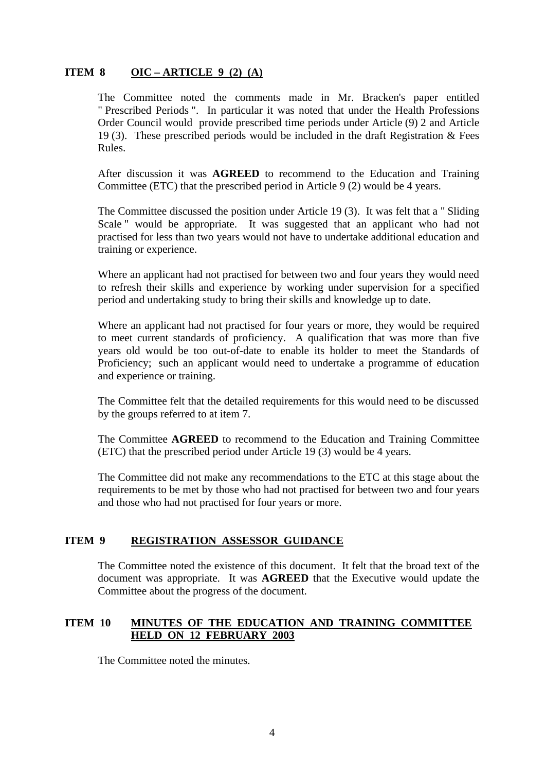### **ITEM 8 OIC – ARTICLE 9 (2) (A)**

The Committee noted the comments made in Mr. Bracken's paper entitled " Prescribed Periods ". In particular it was noted that under the Health Professions Order Council would provide prescribed time periods under Article (9) 2 and Article 19 (3). These prescribed periods would be included in the draft Registration & Fees Rules.

After discussion it was **AGREED** to recommend to the Education and Training Committee (ETC) that the prescribed period in Article 9 (2) would be 4 years.

The Committee discussed the position under Article 19 (3). It was felt that a " Sliding Scale " would be appropriate. It was suggested that an applicant who had not practised for less than two years would not have to undertake additional education and training or experience.

Where an applicant had not practised for between two and four years they would need to refresh their skills and experience by working under supervision for a specified period and undertaking study to bring their skills and knowledge up to date.

Where an applicant had not practised for four years or more, they would be required to meet current standards of proficiency. A qualification that was more than five years old would be too out-of-date to enable its holder to meet the Standards of Proficiency; such an applicant would need to undertake a programme of education and experience or training.

The Committee felt that the detailed requirements for this would need to be discussed by the groups referred to at item 7.

The Committee **AGREED** to recommend to the Education and Training Committee (ETC) that the prescribed period under Article 19 (3) would be 4 years.

The Committee did not make any recommendations to the ETC at this stage about the requirements to be met by those who had not practised for between two and four years and those who had not practised for four years or more.

### **ITEM 9 REGISTRATION ASSESSOR GUIDANCE**

The Committee noted the existence of this document. It felt that the broad text of the document was appropriate. It was **AGREED** that the Executive would update the Committee about the progress of the document.

# **ITEM 10 MINUTES OF THE EDUCATION AND TRAINING COMMITTEE HELD ON 12 FEBRUARY 2003**

The Committee noted the minutes.